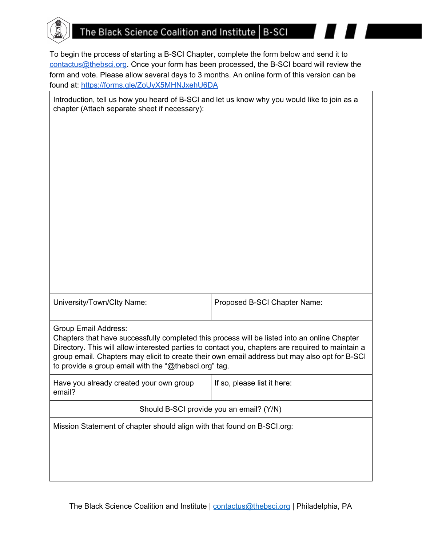## The Black Science Coalition and Institute | B-SCI

To begin the process of starting a B-SCI Chapter, complete the form below and send it to [contactus@thebsci.org.](mailto:contactus@thebsci.org) Once your form has been processed, the B-SCI board will review the form and vote. Please allow several days to 3 months. An online form of this version can be found at: <https://forms.gle/ZoUyX5MHNJxehU6DA>

| Introduction, tell us how you heard of B-SCI and let us know why you would like to join as a<br>chapter (Attach separate sheet if necessary):                                                                                                                                                                                                               |                              |
|-------------------------------------------------------------------------------------------------------------------------------------------------------------------------------------------------------------------------------------------------------------------------------------------------------------------------------------------------------------|------------------------------|
|                                                                                                                                                                                                                                                                                                                                                             |                              |
|                                                                                                                                                                                                                                                                                                                                                             |                              |
|                                                                                                                                                                                                                                                                                                                                                             |                              |
|                                                                                                                                                                                                                                                                                                                                                             |                              |
|                                                                                                                                                                                                                                                                                                                                                             |                              |
|                                                                                                                                                                                                                                                                                                                                                             |                              |
|                                                                                                                                                                                                                                                                                                                                                             |                              |
|                                                                                                                                                                                                                                                                                                                                                             |                              |
|                                                                                                                                                                                                                                                                                                                                                             |                              |
| University/Town/Clty Name:                                                                                                                                                                                                                                                                                                                                  | Proposed B-SCI Chapter Name: |
| Group Email Address:                                                                                                                                                                                                                                                                                                                                        |                              |
| Chapters that have successfully completed this process will be listed into an online Chapter<br>Directory. This will allow interested parties to contact you, chapters are required to maintain a<br>group email. Chapters may elicit to create their own email address but may also opt for B-SCI<br>to provide a group email with the "@thebsci.org" tag. |                              |
| Have you already created your own group<br>email?                                                                                                                                                                                                                                                                                                           | If so, please list it here:  |
| Should B-SCI provide you an email? (Y/N)                                                                                                                                                                                                                                                                                                                    |                              |
| Mission Statement of chapter should align with that found on B-SCI.org:                                                                                                                                                                                                                                                                                     |                              |
|                                                                                                                                                                                                                                                                                                                                                             |                              |
|                                                                                                                                                                                                                                                                                                                                                             |                              |